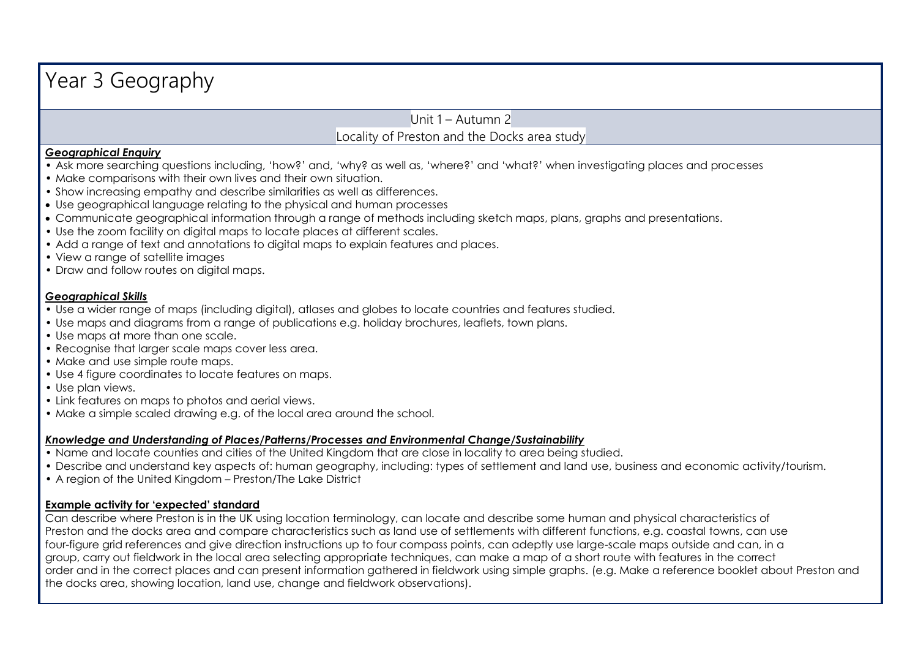# Year 3 Geography

Unit  $1 -$  Autumn 2

## Locality of Preston and the Docks area study

#### *Geographical Enquiry*

- Ask more searching questions including, 'how?' and, 'why? as well as, 'where?' and 'what?' when investigating places and processes
- Make comparisons with their own lives and their own situation.
- Show increasing empathy and describe similarities as well as differences.
- Use geographical language relating to the physical and human processes
- Communicate geographical information through a range of methods including sketch maps, plans, graphs and presentations.
- Use the zoom facility on digital maps to locate places at different scales.
- Add a range of text and annotations to digital maps to explain features and places.
- View a range of satellite images
- Draw and follow routes on digital maps.

## *Geographical Skills*

- Use a wider range of maps (including digital), atlases and globes to locate countries and features studied.
- Use maps and diagrams from a range of publications e.g. holiday brochures, leaflets, town plans.
- Use maps at more than one scale.
- Recognise that larger scale maps cover less area.
- Make and use simple route maps.
- Use 4 figure coordinates to locate features on maps.
- Use plan views.
- Link features on maps to photos and aerial views.
- Make a simple scaled drawing e.g. of the local area around the school.

#### *Knowledge and Understanding of Places/Patterns/Processes and Environmental Change/Sustainability*

- Name and locate counties and cities of the United Kingdom that are close in locality to area being studied.
- Describe and understand key aspects of: human geography, including: types of settlement and land use, business and economic activity/tourism.
- A region of the United Kingdom Preston/The Lake District

#### **Example activity for 'expected' standard**

Can describe where Preston is in the UK using location terminology, can locate and describe some human and physical characteristics of Preston and the docks area and compare characteristics such as land use of settlements with different functions, e.g. coastal towns, can use four-figure grid references and give direction instructions up to four compass points, can adeptly use large-scale maps outside and can, in a group, carry out fieldwork in the local area selecting appropriate techniques, can make a map of a short route with features in the correct order and in the correct places and can present information gathered in fieldwork using simple graphs. (e.g. Make a reference booklet about Preston and the docks area, showing location, land use, change and fieldwork observations).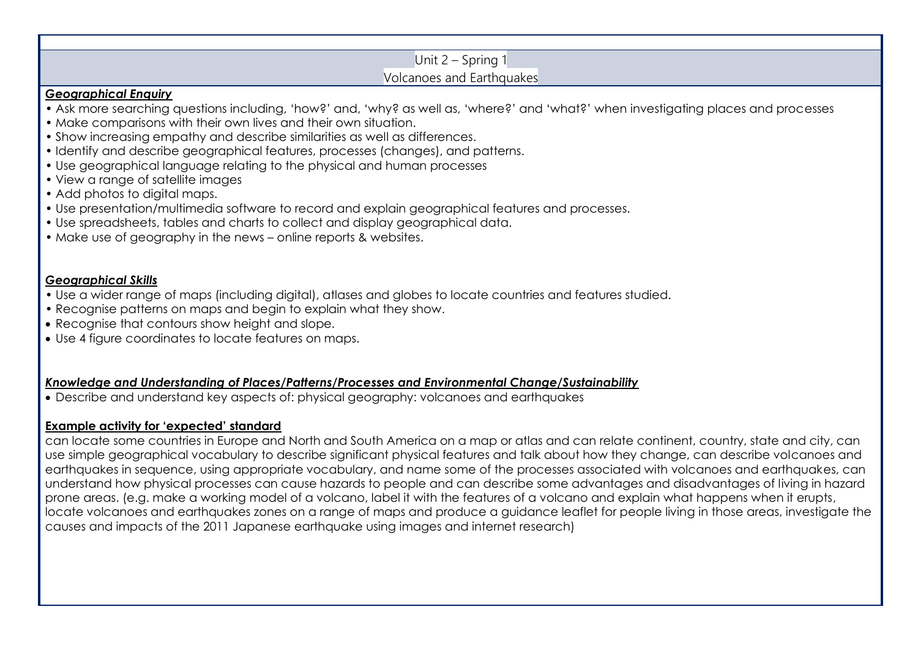## Unit 2 – Spring 1

## Volcanoes and Earthquakes

## *Geographical Enquiry*

- Ask more searching questions including, 'how?' and, 'why? as well as, 'where?' and 'what?' when investigating places and processes
- Make comparisons with their own lives and their own situation.
- Show increasing empathy and describe similarities as well as differences.
- Identify and describe geographical features, processes (changes), and patterns.
- Use geographical language relating to the physical and human processes
- View a range of satellite images
- Add photos to digital maps.
- Use presentation/multimedia software to record and explain geographical features and processes.
- Use spreadsheets, tables and charts to collect and display geographical data.
- Make use of geography in the news online reports & websites.

## *Geographical Skills*

- Use a wider range of maps (including digital), atlases and globes to locate countries and features studied.
- Recognise patterns on maps and begin to explain what they show.
- Recognise that contours show height and slope.
- Use 4 figure coordinates to locate features on maps.

## *Knowledge and Understanding of Places/Patterns/Processes and Environmental Change/Sustainability*

• Describe and understand key aspects of: physical geography: volcanoes and earthquakes

## **Example activity for 'expected' standard**

can locate some countries in Europe and North and South America on a map or atlas and can relate continent, country, state and city, can use simple geographical vocabulary to describe significant physical features and talk about how they change, can describe volcanoes and earthquakes in sequence, using appropriate vocabulary, and name some of the processes associated with volcanoes and earthquakes, can understand how physical processes can cause hazards to people and can describe some advantages and disadvantages of living in hazard prone areas. (e.g. make a working model of a volcano, label it with the features of a volcano and explain what happens when it erupts, locate volcanoes and earthquakes zones on a range of maps and produce a guidance leaflet for people living in those areas, investigate the causes and impacts of the 2011 Japanese earthquake using images and internet research)